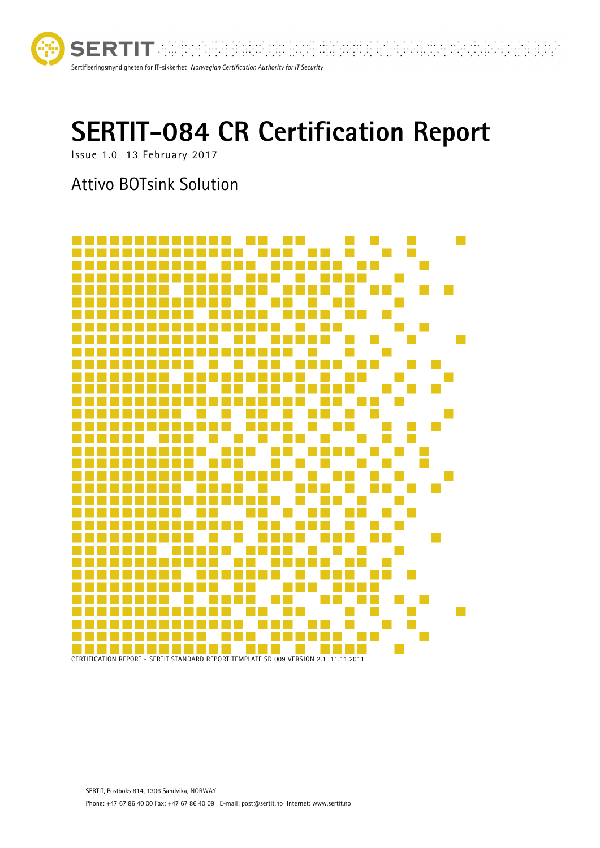

**SERTIT WEE** <u>Sa planta ita mala s</u>u <u>Sofia adminis</u>  $\mathbb{R}^{n \times n}$ Sertifiseringsmyndigheten for IT-sikkerhet *Norwegian Certification Authority for IT Security*

# **SERTIT-084 CR Certification Report**

Issue 1.0 13 February 2017

# Attivo BOTsink Solution

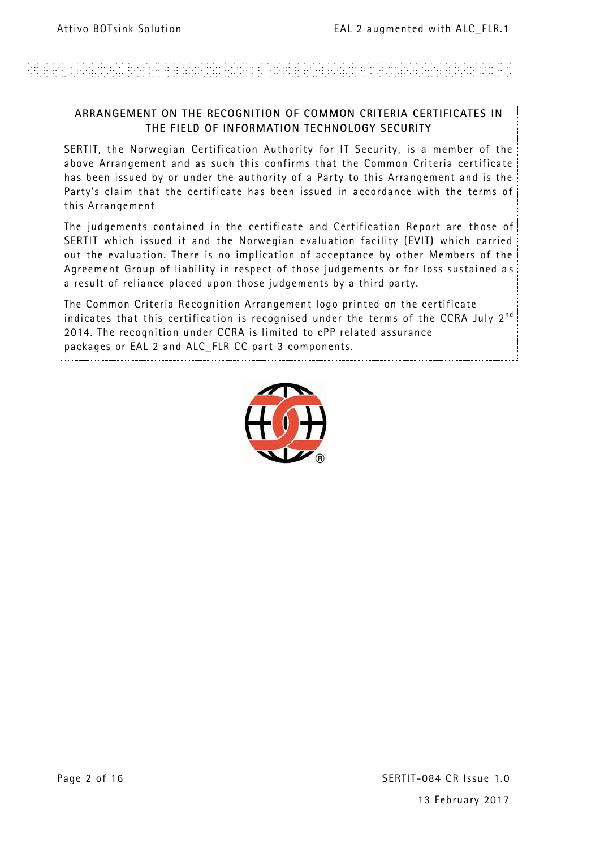# ARE ANA PARTIKAN BINYARA BABURAN HASA DAYURKE ANA PARTIKIN SUKA PERSENYA BIRANYAN PUR

#### **ARRANGEMENT ON THE RECOGNITION OF COMMON CRITERIA CERTIFICATES IN THE FIELD OF INFORMATION TECHNOLOGY SECURITY**

SERTIT, the Norwegian Certification Authority for IT Security, is a member of the above Arrangement and as such this confirms that the Common Criteria certificate has been issued by or under the authority of a Party to this Arrangement and is the Party's claim that the certificate has been issued in accordance with the terms of this Arrangement

The judgements contained in the certificate and Certification Report are those of SERTIT which issued it and the Norwegian evaluation facility (EVIT) which carried out the evaluation. There is no implication of acceptance by other Members of the Agreement Group of liability in respect of those judgements or for loss sustained a s a result of reliance placed upon those judgements by a third party.

The Common Criteria Recognition Arrangement logo printed on the certificate indicates that this certification is recognised under the terms of the CCRA July  $2^{nd}$ 2014. The recognition under CCRA is limited to cPP related assurance packages or EAL 2 and ALC\_FLR CC part 3 components.

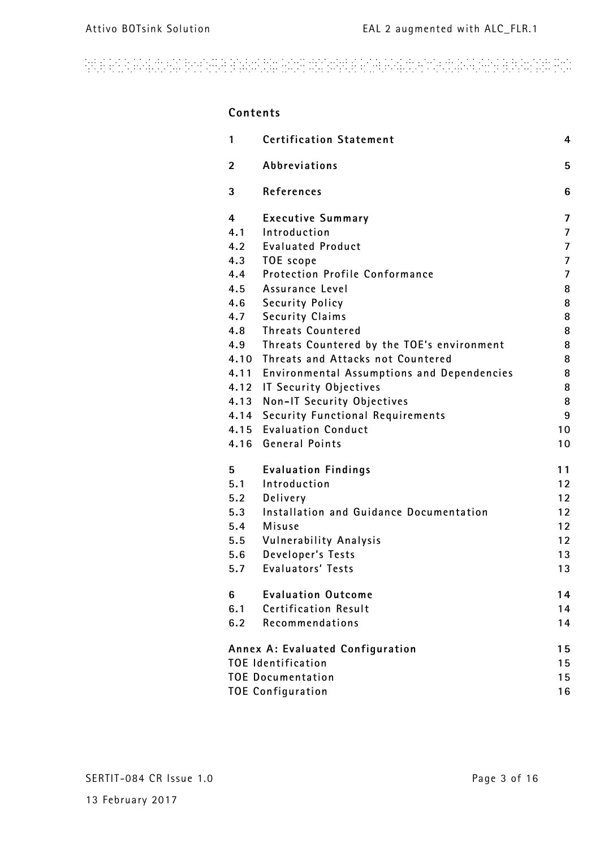# 

### **Contents 1 Certification Statement 4 2 Abbreviations 5 3 References 6 4 Executive Summary 7 4.1 Introduction 7 4.2 Evaluated Product 7 4.3 TOE scope 7 4.4 Protection Profile Conformance 7 4.5 Assurance Level 8 4.6 Security Policy 8 4.7 Security Claims 8 4.8 Threats Countered 8 4.9 Threats Countered by the TOE's environment 8 4.10 Threats and Attacks not Countered 8 4.11 Environmental Assumptions and Dependencies 8 4.12 IT Security Objectives 8 4.13 Non-IT Security Objectives 8 4.14 Security Functional Requirements 9 4.15 Evaluation Conduct 10 4.16 General Points 10 5 Evaluation Findings 11 5.1 Introduction 12 5.2 Delivery 12 5.3 Installation and Guidance Documentation 12 5.4 Misuse 12 5.5 Vulnerability Analysis 12 5.6 Developer's Tests 13 5.7 Evaluators' Tests 13 6 Evaluation Outcome 14 6.1 Certification Result 14 6.2 Recommendations 14 Annex A: Evaluated Configuration 15 TOE Identification 15 TOE Documentation 15 TOE Configuration 16**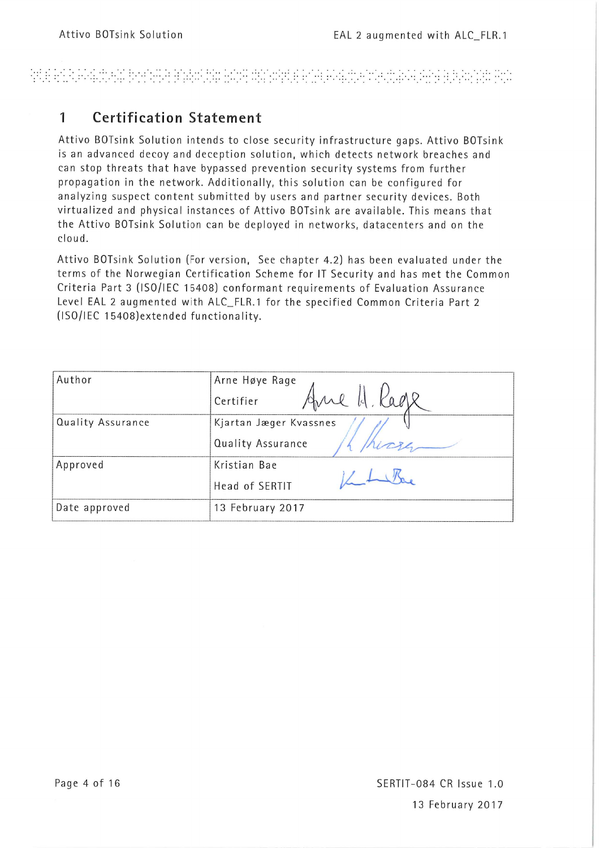### 알리타 만나무 4.1%의 환경 10만만 20% 20% 100% 100% 20% 20% 100% 100% 20% 20% 20% 20% 20%

#### **Certification Statement**  $\mathbf{1}$

Attivo BOTsink Solution intends to close security infrastructure gaps. Attivo BOTsink is an advanced decoy and deception solution, which detects network breaches and can stop threats that have bypassed prevention security systems from further propagation in the network. Additionally, this solution can be configured for analyzing suspect content submitted by users and partner security devices. Both virtualized and physical instances of Attivo BOTsink are available. This means that the Attivo BOTsink Solution can be deployed in networks, datacenters and on the cloud.

Attivo BOTsink Solution (For version, See chapter 4.2) has been evaluated under the terms of the Norwegian Certification Scheme for IT Security and has met the Common Criteria Part 3 (ISO/IEC 15408) conformant requirements of Evaluation Assurance Level EAL 2 augmented with ALC\_FLR.1 for the specified Common Criteria Part 2 (ISO/IEC 15408) extended functionality.

| Author            | Arne Høye Rage<br>Kage<br>re H.<br>Certifier |  |
|-------------------|----------------------------------------------|--|
| Quality Assurance | Kjartan Jæger Kvassnes<br>Quality Assurance  |  |
| Approved          | Kristian Bae<br>Head of SERTIT               |  |
| Date approved     | 13 February 2017                             |  |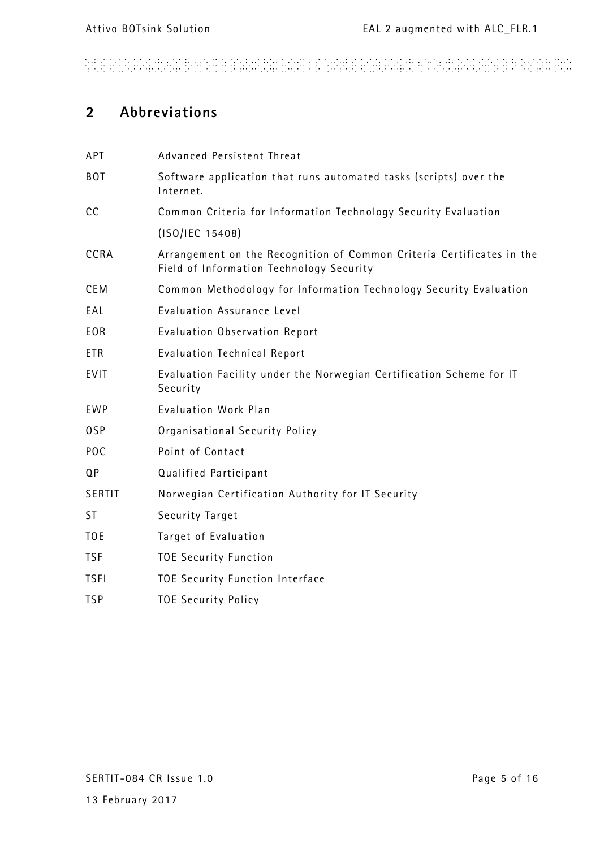# ARTE AN ANG ING ANG PANG-PAGPANGAN ANG ANG ANG ANG ANG ING ANG ANG ANG PERSONAL ANG A

### **2 Abbreviations**

| APT             | Advanced Persistent Threat                                                                                        |
|-----------------|-------------------------------------------------------------------------------------------------------------------|
| <b>BOT</b>      | Software application that runs automated tasks (scripts) over the<br>Internet.                                    |
| cc              | Common Criteria for Information Technology Security Evaluation                                                    |
|                 | (ISO/IEC 15408)                                                                                                   |
| CCRA            | Arrangement on the Recognition of Common Criteria Certificates in the<br>Field of Information Technology Security |
| <b>CEM</b>      | Common Methodology for Information Technology Security Evaluation                                                 |
| EAL             | Evaluation Assurance Level                                                                                        |
| <b>EOR</b>      | Evaluation Observation Report                                                                                     |
| <b>ETR</b>      | <b>Evaluation Technical Report</b>                                                                                |
| <b>EVIT</b>     | Evaluation Facility under the Norwegian Certification Scheme for IT<br>Security                                   |
| <b>EWP</b>      | Evaluation Work Plan                                                                                              |
| 0SP             | Organisational Security Policy                                                                                    |
| POC             | Point of Contact                                                                                                  |
| QP              | Qualified Participant                                                                                             |
| SERTIT          | Norwegian Certification Authority for IT Security                                                                 |
| <b>ST</b>       | Security Target                                                                                                   |
| T <sub>OE</sub> | Target of Evaluation                                                                                              |
| <b>TSF</b>      | <b>TOE Security Function</b>                                                                                      |
| <b>TSFI</b>     | TOE Security Function Interface                                                                                   |
| <b>TSP</b>      | <b>TOE Security Policy</b>                                                                                        |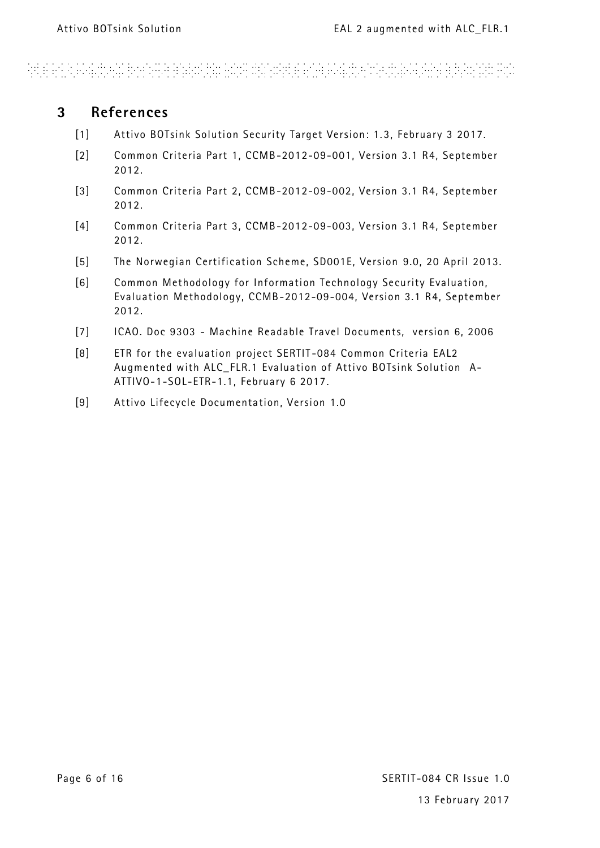# and an electronic booking and other proposed and construction of the account of the construction

### **3 References**

- <span id="page-5-0"></span>[1] Attivo BOTsink Solution Security Target Version: 1.3, February 3 2017.
- <span id="page-5-2"></span>[2] Common Criteria Part 1, CCMB-2012-09-001, Version 3.1 R4, September 2012.
- <span id="page-5-3"></span>[3] Common Criteria Part 2, CCMB-2012-09-002, Version 3.1 R4, September 2012.
- <span id="page-5-1"></span>[4] Common Criteria Part 3, CCMB-2012-09-003, Version 3.1 R4, September 2012.
- <span id="page-5-4"></span>[5] The Norwegian Certification Scheme, SD001E, Version 9.0, 20 April 2013.
- <span id="page-5-5"></span>[6] Common Methodology for Information Technology Security Evaluation, Evaluation Methodology, CCMB-2012-09-004, Version 3.1 R4, September 2012.
- [7] ICAO. Doc 9303 Machine Readable Travel Documents, version 6, 2006
- <span id="page-5-6"></span>[8] ETR for the evaluation project SERTIT -084 Common Criteria EAL2 Augmented with ALC\_FLR.1 Evaluation of Attivo BOTsink Solution A-ATTIVO-1-SOL-ETR-1.1, February 6 2017.
- <span id="page-5-7"></span>[9] Attivo Lifecycle Documentation, Version 1.0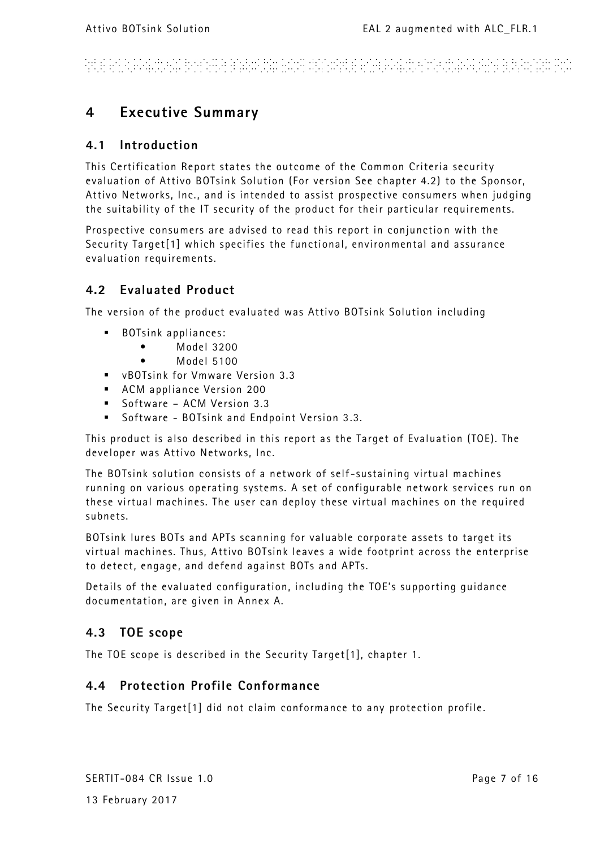# ARTE ER EN EN EN EN FRANCE ET EN EN EN HAT HAT ET EN EN EN EN EN EN EN EN EN ET ET EN A

### **4 Executive Summary**

### **4.1 Introduction**

This Certification Report states the outcome of the Common Criteria security evaluation of Attivo BOTsink Solution (For version See chapter 4.2) to the Sponsor, Attivo Networks, Inc., and is intended to assist prospective consumers when judging the suitability of the IT security of the product for their particular requirements.

Prospective consumers are advised to read this report in conjunction with the Security Targe[t\[1\]](#page-5-0) which specifies the functional, environmental and assurance evaluation requirements.

### **4.2 Evaluated Product**

The version of the product eva luated was Attivo BOTsink Solution including

- **BOTsink appliances:** 
	- Model 3200
	- Model 5100
- vBOTsink for Vmware Version 3.3
- ACM appliance Version 200
- Software ACM Version 3.3
- Software BOTsink and Endpoint Version 3.3.

This product is also described in this report as the Target of Evaluation (TOE). The developer was Attivo Networks, Inc.

The BOTsink solution consists of a network of self -sustaining virtual machines running on various operating systems. A set of configurable network services run on these virtual machines. The user can deploy these virtual machines on the required subnets.

BOTsink lures BOTs and APTs scanning for valuable corporate assets to target its virtual machines. Thus, Attivo BOTsink leaves a wide footprint across the enterprise to detect, engage, and defend against BOTs and APTs.

Details of the evaluated configuration, including the TOE's supporting guidance documentation, are given in Annex A.

### **4.3 TOE scope**

The TOE scope is described in the Security Targe[t\[1\],](#page-5-0) chapter 1.

### **4.4 Protection Profile Conformance**

The Security Targe[t\[1\]](#page-5-0) did not claim conformance to any protection profile.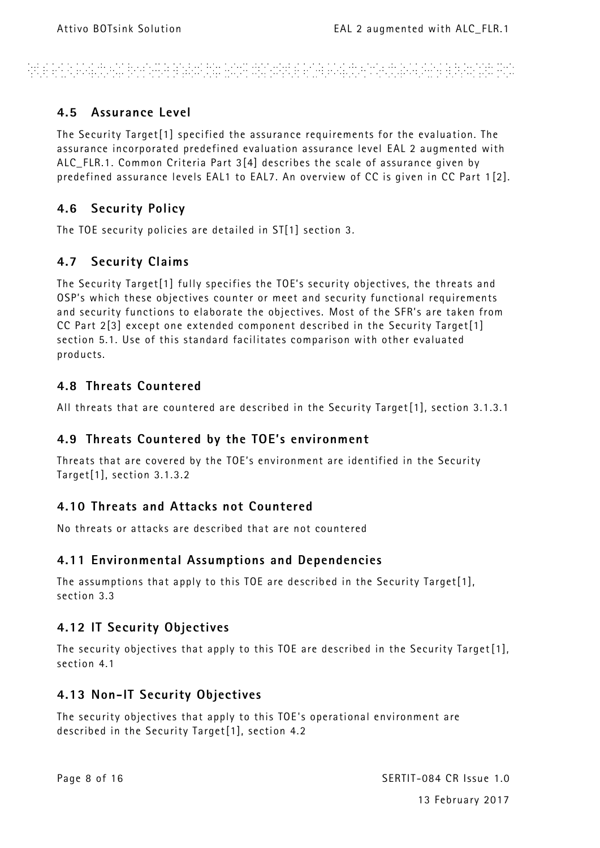# and a constant property and the constant of the constant of the constant of the constant of the constant

### **4.5 Assurance Level**

The Security Targe[t\[1\]](#page-5-0) specified the assurance requirements for the evaluation. The assurance incorporated predefined evaluation assurance level EAL 2 augmented with ALC\_FLR.1. Common Criteria Part [3\[4\]](#page-5-1) describes the scale of assurance given by predefined assurance levels EAL1 to EAL7. An overview of CC is given in CC Part 1 [\[2\].](#page-5-2)

### **4.6 Security Policy**

The TOE security policies are detailed in S[T\[1\]](#page-5-0) section 3*.*

### **4.7 Security Claims**

The Security Targe[t\[1\]](#page-5-0) fully specifies the TOE's security objectives, the threats and OSP's which these objectives counter or meet and security functional requirements and security functions to elaborate the objectives. Most of the SFR's are taken from CC Part [2\[3\]](#page-5-3) except one extended component described in the Security Targe[t\[1\]](#page-5-0) section 5.1. Use of this standard facilitates comparison with other evaluated products.

### **4.8 Threats Countered**

All threats that are countered are described in the Security Targe[t\[1\],](#page-5-0) section 3.1.3.1

### **4.9 Threats Countered by the TOE's environment**

Threats that are covered by the TOE's environment are identified in the Security Targe[t\[1\],](#page-5-0) section 3.1.3.2

### **4.10 Threats and Attacks not Countered**

No threats or attacks are described that are not countered

### **4.11 Environmental Assumptions and Dependencies**

The assumptions that apply to this TOE are described in the Security Targe[t\[1\],](#page-5-0) section 3.3

### **4.12 IT Security Objectives**

The security objectives that apply to this TOE are described in the Security Target [\[1\],](#page-5-0) section 4.1

### **4.13 Non-IT Security Objectives**

The security objectives that apply to this TOE 's operational environment are described in the Security Targe[t\[1\],](#page-5-0) section 4.2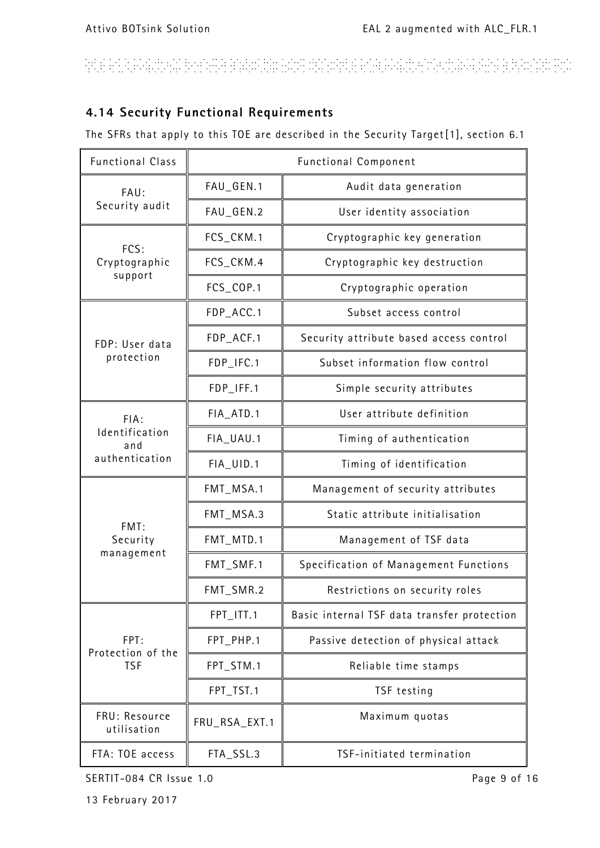# ARE AN AGAIN AN BONARA BARANYA ANY DINARKE ANA PARINANA ARABANYA BERGARA PUT

### **4.14 Security Functional Requirements**

The SFRs that apply to this TOE are described in the Security Targe[t\[1\],](#page-5-0) section 6.1

| <b>Functional Class</b>                         | <b>Functional Component</b> |                                             |
|-------------------------------------------------|-----------------------------|---------------------------------------------|
| FAU:                                            | FAU_GEN.1                   | Audit data generation                       |
| Security audit                                  | FAU_GEN.2                   | User identity association                   |
| FCS:                                            | FCS_CKM.1                   | Cryptographic key generation                |
| Cryptographic<br>support                        | FCS_CKM.4                   | Cryptographic key destruction               |
|                                                 | FCS_COP.1                   | Cryptographic operation                     |
|                                                 | FDP_ACC.1                   | Subset access control                       |
| FDP: User data<br>protection                    | FDP_ACF.1                   | Security attribute based access control     |
|                                                 | FDP_IFC.1                   | Subset information flow control             |
|                                                 | FDP_IFF.1                   | Simple security attributes                  |
| FIA:<br>Identification<br>and<br>authentication | FIA_ATD.1                   | User attribute definition                   |
|                                                 | FIA_UAU.1                   | Timing of authentication                    |
|                                                 | FIA_UID.1                   | Timing of identification                    |
| FMT:<br>Security<br>management                  | FMT_MSA.1                   | Management of security attributes           |
|                                                 | FMT_MSA.3                   | Static attribute initialisation             |
|                                                 | FMT_MTD.1                   | Management of TSF data                      |
|                                                 | FMT_SMF.1                   | Specification of Management Functions       |
|                                                 | FMT_SMR.2                   | Restrictions on security roles              |
| FPT:<br>Protection of the<br><b>TSF</b>         | FPT_ITT.1                   | Basic internal TSF data transfer protection |
|                                                 | FPT_PHP.1                   | Passive detection of physical attack        |
|                                                 | FPT_STM.1                   | Reliable time stamps                        |
|                                                 | FPT_TST.1                   | TSF testing                                 |
| FRU: Resource<br>utilisation                    | FRU_RSA_EXT.1               | Maximum quotas                              |
| FTA: TOE access                                 | FTA_SSL.3                   | TSF-initiated termination                   |

SERTIT-084 CR Issue 1.0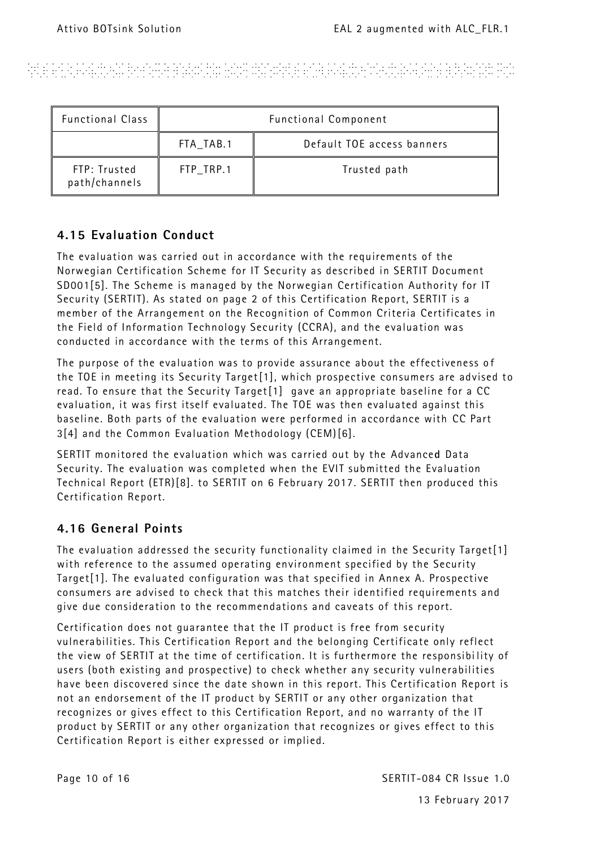# Andele Ale Ale Strange and the Constitution of the Ale Ale Ale Strange and Ale Ale Ale Ale Ale Ale Ale

| <b>Functional Class</b>       | <b>Functional Component</b> |                            |  |
|-------------------------------|-----------------------------|----------------------------|--|
|                               | FTA_TAB.1                   | Default TOE access banners |  |
| FTP: Trusted<br>path/channels | FTP_TRP.1                   | Trusted path               |  |

### **4.15 Evaluation Conduct**

The evaluation was carried out in accordance with the requirements of the Norwegian Certification Scheme for IT Security as described in SERTIT Document SD00[1\[5\].](#page-5-4) The Scheme is managed by the Norwegian Certification Authority for IT Security (SERTIT). As stated on page 2 of this Certification Report, SERTIT is a member of the Arrangement on the Recognition of Common Criteria Certificates in the Field of Information Technology Security (CCRA), and the evaluation was conducted in accordance with the terms of this Arrangement.

The purpose of the evaluation was to provide assurance about the effectiveness of the TOE in meeting its Security Targe[t\[1\],](#page-5-0) which prospective consumers are advised to read. To ensure that the Security Targe[t\[1\]](#page-5-0) gave an appropriate baseline for a CC evaluation, it was first itself evaluated. The TOE was then evaluated against this baseline. Both parts of the evaluation were performed in accordance with CC Part [3\[4\]](#page-5-1) and the Common Evaluation Methodology (CEM[\)\[6\].](#page-5-5)

SERTIT monitored the evaluation which was carried out by the Advance**d** Data Security. The evaluation was completed when the EVIT submitted the Evaluation Technical Report (ETR[\)\[8\].](#page-5-6) to SERTIT on 6 February 2017. SERTIT then produced this Certification Report.

### **4.16 General Points**

The evaluation addressed the security functionality claimed in the Security Targe[t\[1\]](#page-5-0) with reference to the assumed operating environment specified by the Security Targe[t\[1\].](#page-5-0) The evaluated configuration was that specified in Annex A. Prospective consumers are advised to check that this matches their identified requirements and give due consideration to the recommendations and caveats of this report.

Certification does not guarantee that the IT product is free from security vulnerabilities. This Certification Report and the belonging Certificate only reflect the view of SERTIT at the time of certification. It is furthermore the responsibi lity of users (both existing and prospective) to check whether any security vulnerabilities have been discovered since the date shown in this report. This Certification Report is not an endorsement of the IT product by SERTIT or any other organization that recognizes or gives effect to this Certification Report, and no warranty of the IT product by SERTIT or any other organization that recognizes or gives effect to this Certification Report is either expressed or implied.

Page 10 of 16 SERTIT-084 CR Issue 1.0 13 February 2017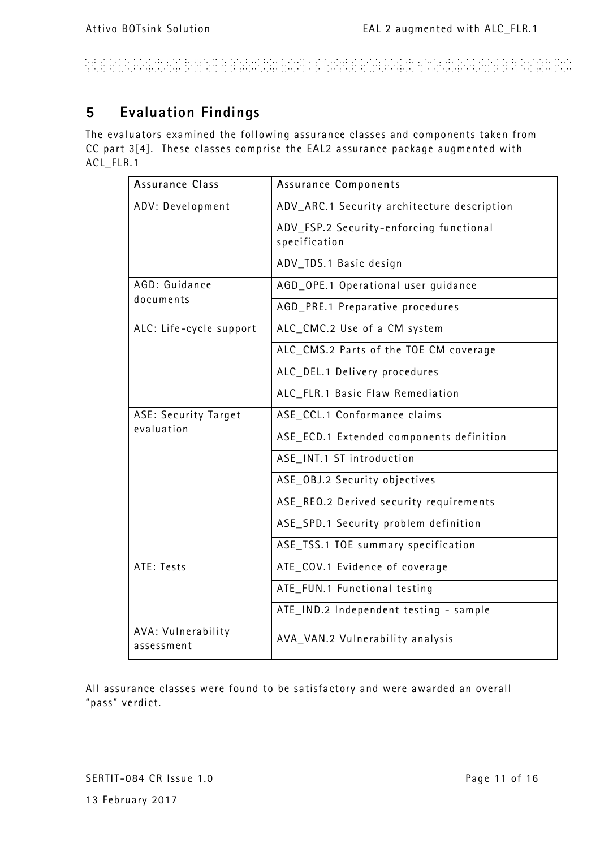# ARTE EN ANGELIA EN BINANA EN EN LA TILANA ANGELE EN ENGELIS ANGELIA ANGELIA E EN ANGELE EN ANGEL

### **5 Evaluation Findings**

The evaluators examined the following assurance classes and components taken from CC part [3\[4\].](#page-5-1) These classes comprise the EAL2 assurance package augmented with ACL\_FLR.1

| <b>Assurance Class</b>           | <b>Assurance Components</b>                              |
|----------------------------------|----------------------------------------------------------|
| ADV: Development                 | ADV_ARC.1 Security architecture description              |
|                                  | ADV_FSP.2 Security-enforcing functional<br>specification |
|                                  | ADV_TDS.1 Basic design                                   |
| AGD: Guidance                    | AGD_OPE.1 Operational user guidance                      |
| documents                        | AGD_PRE.1 Preparative procedures                         |
| ALC: Life-cycle support          | ALC_CMC.2 Use of a CM system                             |
|                                  | ALC_CMS.2 Parts of the TOE CM coverage                   |
|                                  | ALC_DEL.1 Delivery procedures                            |
|                                  | ALC_FLR.1 Basic Flaw Remediation                         |
| ASE: Security Target             | ASE_CCL.1 Conformance claims                             |
| evaluation                       | ASE_ECD.1 Extended components definition                 |
|                                  | ASE_INT.1 ST introduction                                |
|                                  | ASE_OBJ.2 Security objectives                            |
|                                  | ASE_REQ.2 Derived security requirements                  |
|                                  | ASE_SPD.1 Security problem definition                    |
|                                  | ASE_TSS.1 TOE summary specification                      |
| ATE: Tests                       | ATE_COV.1 Evidence of coverage                           |
|                                  | ATE_FUN.1 Functional testing                             |
|                                  | ATE_IND.2 Independent testing - sample                   |
| AVA: Vulnerability<br>assessment | AVA_VAN.2 Vulnerability analysis                         |

All assurance classes were found to be satisfactory and were awarded an overall "pass" verdict.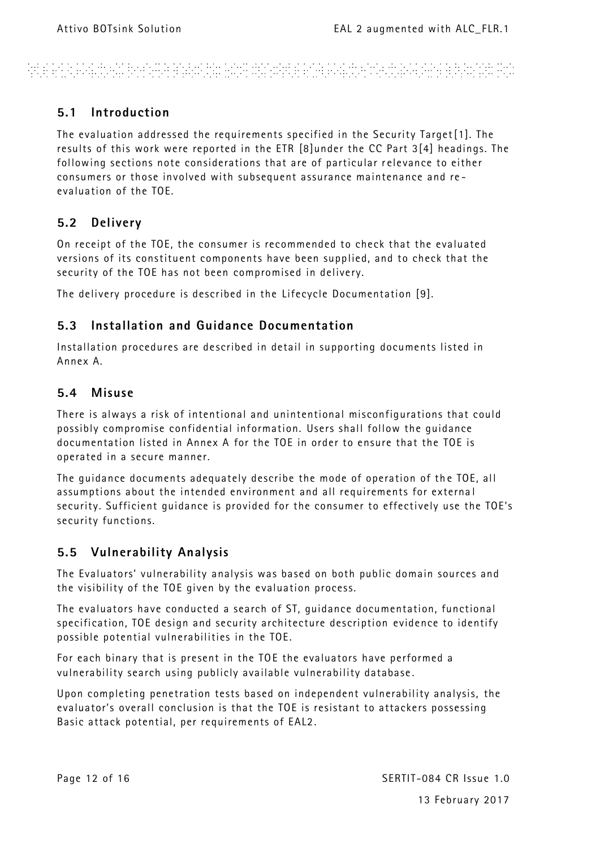ARE EN A PALINAIS BREAKA EN ANALIS ANY DISTANCE EN A PALINAN ROMANA E ELEVANDE POP

### **5.1 Introduction**

The evaluation addressed the requirements specified in the Security Target [\[1\].](#page-5-0) The results of this work were reported in the ETR [\[8\]u](#page-5-6)nder the CC Part [3\[4\]](#page-5-1) headings. The following sections note considerations that are of particular r elevance to either consumers or those involved with subsequent assurance maintenance and re evaluation of the TOE.

### **5.2 Delivery**

On receipt of the TOE, the consumer is recommended to check that the evaluated versions of its constituent components have been supplied, and to check that the security of the TOE has not been compromised in delivery.

The delivery procedure is described in the Lifecycle Documentation [\[9\].](#page-5-7)

### **5.3 Installation and Guidance Documentation**

Installation procedures are described in detail in supporting documents listed in Annex A.

### **5.4 Misuse**

There is always a risk of intentional and unintentional misconfigurations that could possibly compromise confidential information. Users shall follow the guidance documentation listed in Annex A for the TOE in order to ensure that the TOE is operated in a secure manner.

The quidance documents adequately describe the mode of operation of the TOE, all assumptions about the intended environment and all requirements for externa l security. Sufficient guidance is provided for the consumer to effectively use the TOE's security functions.

### **5.5 Vulnerability Analysis**

The Evaluators' vulnerability analysis was based on both public domain sources and the visibility of the TOE given by the evaluation process.

The evaluators have conducted a search of ST, guidance documentation, functional specification, TOE design and security architecture description evidence to identify possible potential vulnerabilities in the TOE.

For each binary that is present in the TOE the evaluators have performed a vulnerability search using publicly available vulnerability database .

Upon completing penetration tests based on independent vulnerability analysis, the evaluator's overall conclusion is that the TOE is resistant to attackers possessing Basic attack potential, per requirements of EAL2 .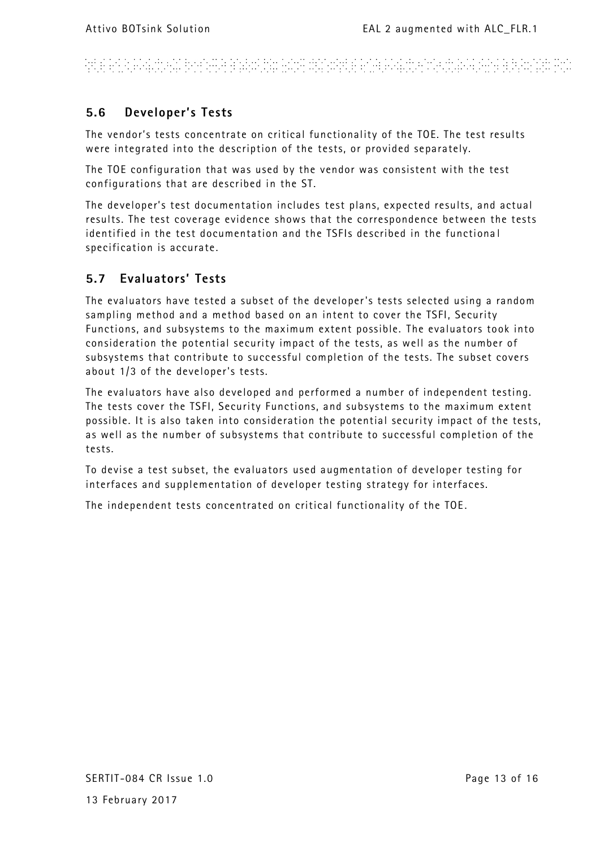# ARE PER PRESENTAT PROPINSI PERSONAL SENTIMA PROPINSI PROPINSI PROPINSI PROPINSI PROPINSI PROPINSI PROPINSI PRO

### **5.6 Developer's Tests**

The vendor's tests concentrate on critical functionality of the TOE. The test results were integrated into the description of the tests, or provided separately.

The TOE configuration that was used by the vendor was consistent with the test configurations that are described in the ST.

The developer's test documentation includes test plans, expected results, and actual results. The test coverage evidence shows that the correspondence between the tests identified in the test documentation and the TSFIs described in the functiona l specification is accurate .

### **5.7 Evaluators' Tests**

The evaluators have tested a subset of the developer's tests selected using a random sampling method and a method based on an intent to cover the TSFI, Security Functions, and subsystems to the maximum extent possible. The evaluators took into consideration the potential security impact of the tests, as well as the number of subsystems that contribute to successful completion of the tests. The subset covers about 1/3 of the developer's tests.

The evaluators have also developed and performed a number of independent testing. The tests cover the TSFI, Security Functions, and subsystems to the maximum extent possible. It is also taken into consideration the potential security impact of the tests, as well as the number of subsystems that contribute to successful completion of the tests.

To devise a test subset, the evaluators used augmentation of developer testing for interfaces and supplementation of developer testing strategy for interfaces.

The independent tests concentrated on critical functionality of the TOE .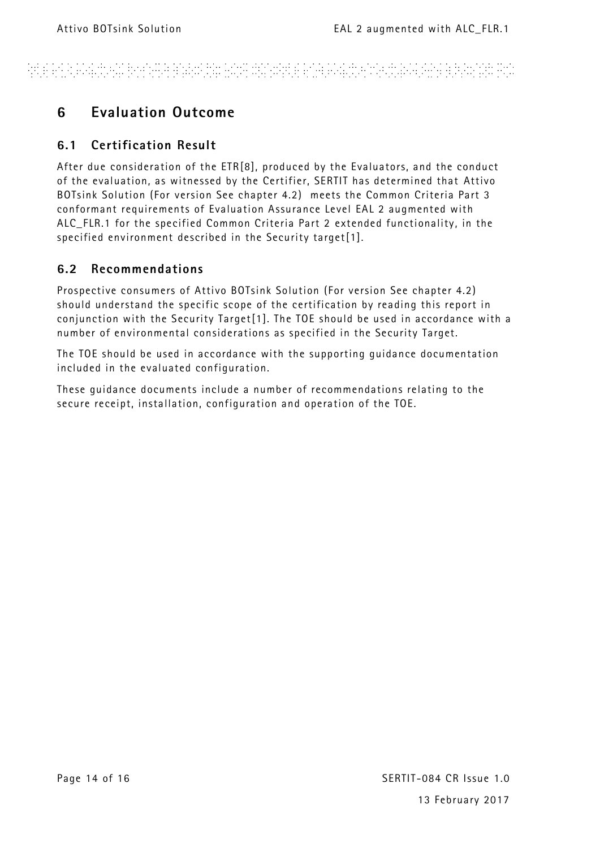# ARE ANA PARTIKAN BINYARA BABURAN HASA DAYURKE ANA PARTIKIN SUKA PERSENYA BIRANYAN PUR

### **6 Evaluation Outcome**

### **6.1 Certification Result**

After due consideration of the ET[R\[8\],](#page-5-6) produced by the Evaluators, and the conduct of the evaluation, as witnessed by the Certifier, SERTIT has determined that Attivo BOTsink Solution (For version See chapter 4.2) meets the Common Criteria Part 3 conformant requirements of Evaluation Assurance Level EAL 2 augmented with ALC\_FLR.1 for the specified Common Criteria Part 2 extended functionality , in the specified environment described in the Security targe[t\[1\].](#page-5-0)

### **6.2 Recommendations**

Prospective consumers of Attivo BOTsink Solution (For version See chapter 4.2) should understand the specific scope of the certification by reading this report in conjunction with the Security Targe[t\[1\].](#page-5-0) The TOE should be used in accordance with a number of environmental considerations as specified in the Security Target.

The TOE should be used in accordance with the supporting guidance documentation included in the evaluated configuration.

These guidance documents include a number of recommendations relating to the secure receipt, installation, configuration and operation of the TOE.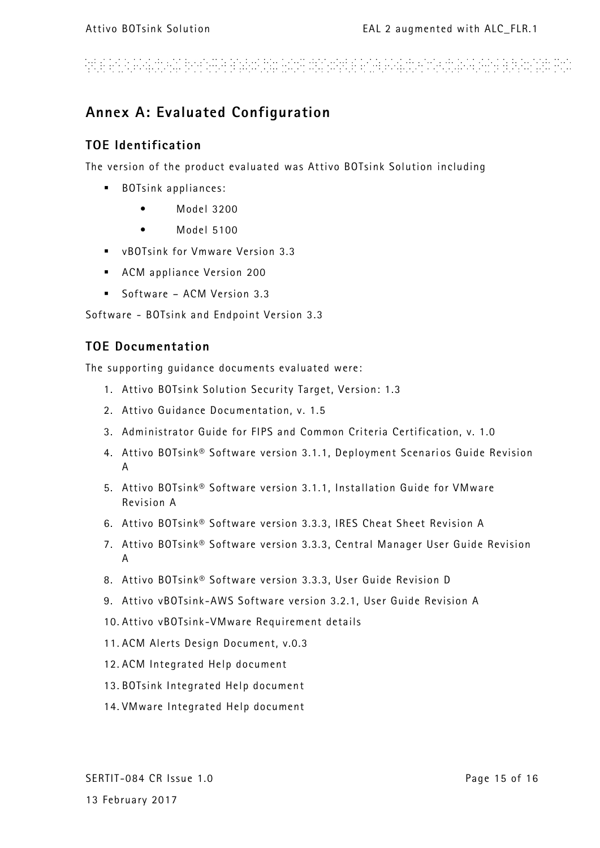# kt ein in hield toeil boeil ein het de heid de loop ein het hield op de heeft en het het het het het de het d

### **Annex A: Evaluated Configuration**

### **TOE Identification**

The version of the product evaluated was Attivo BOTsink Solution including

- BOTsink appliances:
	- Model 3200
	- Model 5100
- vBOTsink for Vmware Version 3.3
- ACM appliance Version 200
- Software ACM Version 3.3

Software - BOTsink and Endpoint Version 3.3

### **TOE Documentation**

The supporting guidance documents evaluated were:

- 1. Attivo BOTsink Solution Security Target, Version: 1.3
- 2. Attivo Guidance Documentation, v. 1.5
- 3. Administrator Guide for FIPS and Common Criteria Certification, v. 1.0
- 4. Attivo BOTsink® Software version 3.1.1, Deployment Scenarios Guide Revision A
- 5. Attivo BOTsink® Software version 3.1.1, Installation Guide for VMware Revision A
- 6. Attivo BOTsink® Software version 3.3.3, IRES Cheat Sheet Revision A
- 7. Attivo BOTsink® Software version 3.3.3, Central Manager User Guide Revision A
- 8. Attivo BOTsink® Software version 3.3.3, User Guide Revision D
- 9. Attivo vBOTsink -AWS Software version 3.2.1, User Guide Revision A
- 10. Attivo vBOTsink -VMware Requirement details
- 11. ACM Alerts Design Document, v.0.3
- 12. ACM Integrated Help document
- 13. BOTsink Integrated Help document
- 14. VMware Integrated Help document